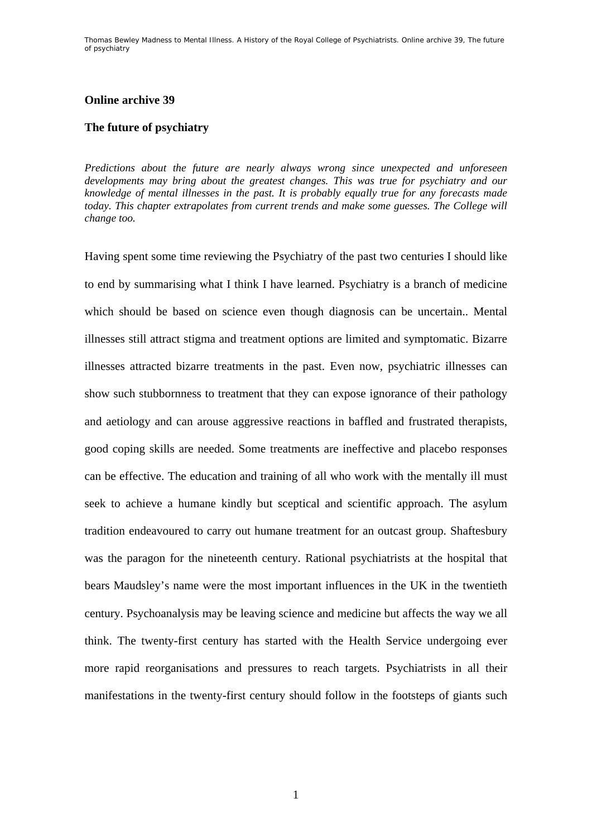Thomas Bewley *Madness to Mental Illness. A History of the Royal College of Psychiatrists*. Online archive 39, *The future of psychiatry*

### **Online archive 39**

### **The future of psychiatry**

*Predictions about the future are nearly always wrong since unexpected and unforeseen developments may bring about the greatest changes. This was true for psychiatry and our knowledge of mental illnesses in the past. It is probably equally true for any forecasts made today. This chapter extrapolates from current trends and make some guesses. The College will change too.* 

Having spent some time reviewing the Psychiatry of the past two centuries I should like to end by summarising what I think I have learned. Psychiatry is a branch of medicine which should be based on science even though diagnosis can be uncertain.. Mental illnesses still attract stigma and treatment options are limited and symptomatic. Bizarre illnesses attracted bizarre treatments in the past. Even now, psychiatric illnesses can show such stubbornness to treatment that they can expose ignorance of their pathology and aetiology and can arouse aggressive reactions in baffled and frustrated therapists, good coping skills are needed. Some treatments are ineffective and placebo responses can be effective. The education and training of all who work with the mentally ill must seek to achieve a humane kindly but sceptical and scientific approach. The asylum tradition endeavoured to carry out humane treatment for an outcast group. Shaftesbury was the paragon for the nineteenth century. Rational psychiatrists at the hospital that bears Maudsley's name were the most important influences in the UK in the twentieth century. Psychoanalysis may be leaving science and medicine but affects the way we all think. The twenty-first century has started with the Health Service undergoing ever more rapid reorganisations and pressures to reach targets. Psychiatrists in all their manifestations in the twenty-first century should follow in the footsteps of giants such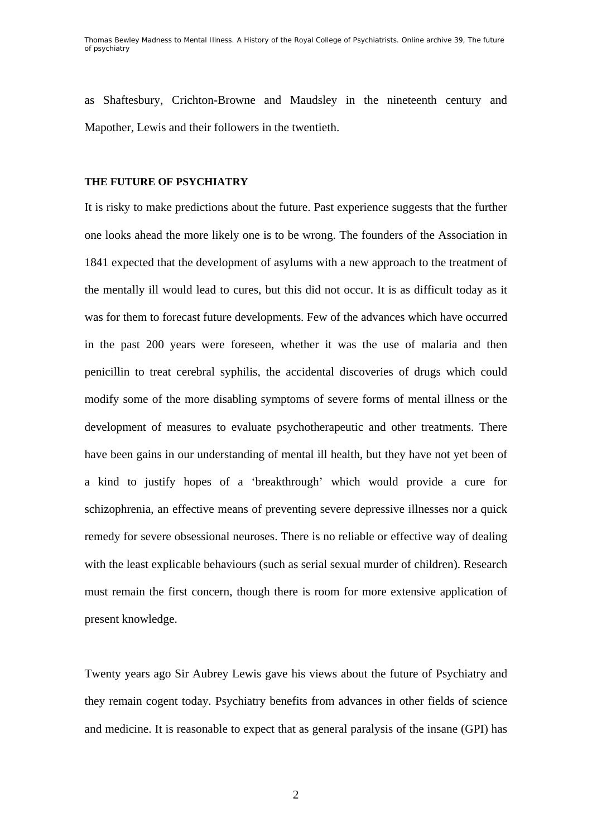Thomas Bewley *Madness to Mental Illness. A History of the Royal College of Psychiatrists*. Online archive 39, *The future of psychiatry*

as Shaftesbury, Crichton-Browne and Maudsley in the nineteenth century and Mapother, Lewis and their followers in the twentieth.

## **THE FUTURE OF PSYCHIATRY**

It is risky to make predictions about the future. Past experience suggests that the further one looks ahead the more likely one is to be wrong. The founders of the Association in 1841 expected that the development of asylums with a new approach to the treatment of the mentally ill would lead to cures, but this did not occur. It is as difficult today as it was for them to forecast future developments. Few of the advances which have occurred in the past 200 years were foreseen, whether it was the use of malaria and then penicillin to treat cerebral syphilis, the accidental discoveries of drugs which could modify some of the more disabling symptoms of severe forms of mental illness or the development of measures to evaluate psychotherapeutic and other treatments. There have been gains in our understanding of mental ill health, but they have not yet been of a kind to justify hopes of a 'breakthrough' which would provide a cure for schizophrenia, an effective means of preventing severe depressive illnesses nor a quick remedy for severe obsessional neuroses. There is no reliable or effective way of dealing with the least explicable behaviours (such as serial sexual murder of children). Research must remain the first concern, though there is room for more extensive application of present knowledge.

Twenty years ago Sir Aubrey Lewis gave his views about the future of Psychiatry and they remain cogent today. Psychiatry benefits from advances in other fields of science and medicine. It is reasonable to expect that as general paralysis of the insane (GPI) has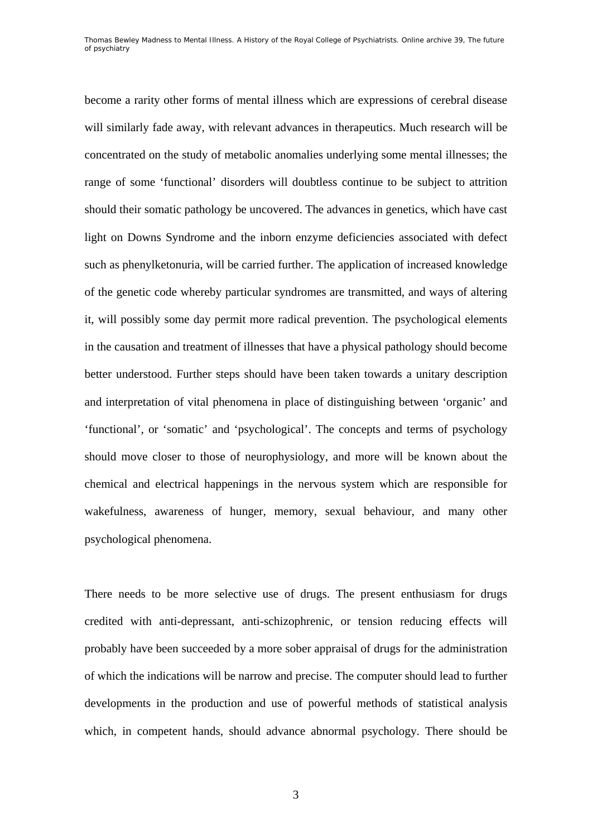become a rarity other forms of mental illness which are expressions of cerebral disease will similarly fade away, with relevant advances in therapeutics. Much research will be concentrated on the study of metabolic anomalies underlying some mental illnesses; the range of some 'functional' disorders will doubtless continue to be subject to attrition should their somatic pathology be uncovered. The advances in genetics, which have cast light on Downs Syndrome and the inborn enzyme deficiencies associated with defect such as phenylketonuria, will be carried further. The application of increased knowledge of the genetic code whereby particular syndromes are transmitted, and ways of altering it, will possibly some day permit more radical prevention. The psychological elements in the causation and treatment of illnesses that have a physical pathology should become better understood. Further steps should have been taken towards a unitary description and interpretation of vital phenomena in place of distinguishing between 'organic' and 'functional', or 'somatic' and 'psychological'. The concepts and terms of psychology should move closer to those of neurophysiology, and more will be known about the chemical and electrical happenings in the nervous system which are responsible for wakefulness, awareness of hunger, memory, sexual behaviour, and many other psychological phenomena.

There needs to be more selective use of drugs. The present enthusiasm for drugs credited with anti-depressant, anti-schizophrenic, or tension reducing effects will probably have been succeeded by a more sober appraisal of drugs for the administration of which the indications will be narrow and precise. The computer should lead to further developments in the production and use of powerful methods of statistical analysis which, in competent hands, should advance abnormal psychology. There should be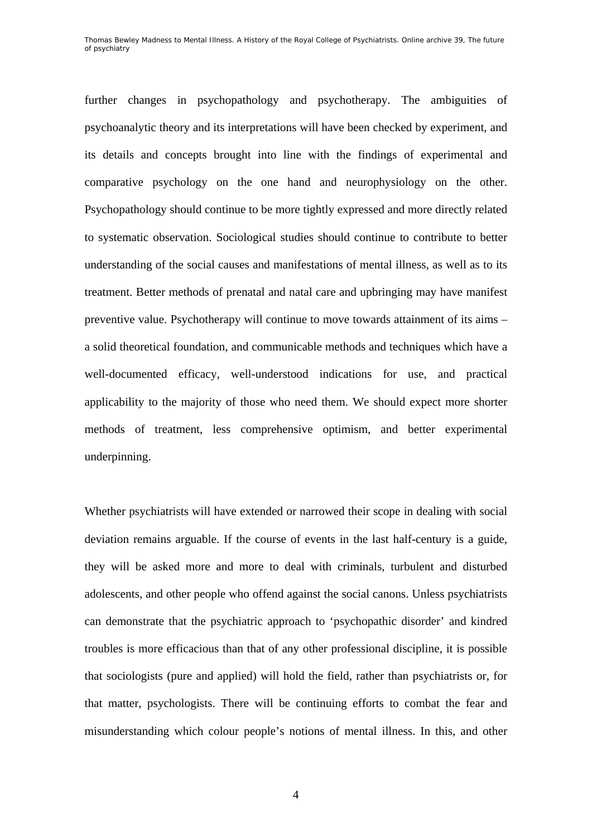further changes in psychopathology and psychotherapy. The ambiguities of psychoanalytic theory and its interpretations will have been checked by experiment, and its details and concepts brought into line with the findings of experimental and comparative psychology on the one hand and neurophysiology on the other. Psychopathology should continue to be more tightly expressed and more directly related to systematic observation. Sociological studies should continue to contribute to better understanding of the social causes and manifestations of mental illness, as well as to its treatment. Better methods of prenatal and natal care and upbringing may have manifest preventive value. Psychotherapy will continue to move towards attainment of its aims – a solid theoretical foundation, and communicable methods and techniques which have a well-documented efficacy, well-understood indications for use, and practical applicability to the majority of those who need them. We should expect more shorter methods of treatment, less comprehensive optimism, and better experimental underpinning.

Whether psychiatrists will have extended or narrowed their scope in dealing with social deviation remains arguable. If the course of events in the last half-century is a guide, they will be asked more and more to deal with criminals, turbulent and disturbed adolescents, and other people who offend against the social canons. Unless psychiatrists can demonstrate that the psychiatric approach to 'psychopathic disorder' and kindred troubles is more efficacious than that of any other professional discipline, it is possible that sociologists (pure and applied) will hold the field, rather than psychiatrists or, for that matter, psychologists. There will be continuing efforts to combat the fear and misunderstanding which colour people's notions of mental illness. In this, and other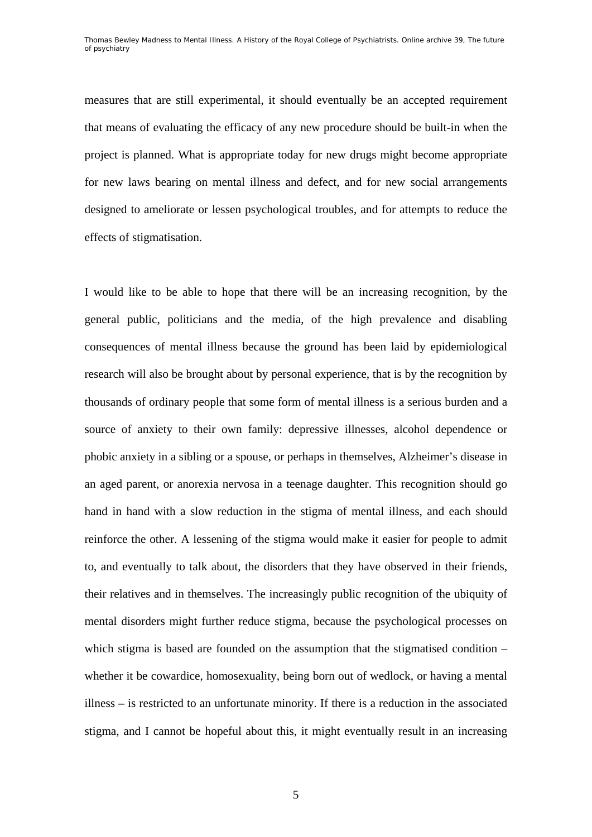measures that are still experimental, it should eventually be an accepted requirement that means of evaluating the efficacy of any new procedure should be built-in when the project is planned. What is appropriate today for new drugs might become appropriate for new laws bearing on mental illness and defect, and for new social arrangements designed to ameliorate or lessen psychological troubles, and for attempts to reduce the effects of stigmatisation.

I would like to be able to hope that there will be an increasing recognition, by the general public, politicians and the media, of the high prevalence and disabling consequences of mental illness because the ground has been laid by epidemiological research will also be brought about by personal experience, that is by the recognition by thousands of ordinary people that some form of mental illness is a serious burden and a source of anxiety to their own family: depressive illnesses, alcohol dependence or phobic anxiety in a sibling or a spouse, or perhaps in themselves, Alzheimer's disease in an aged parent, or anorexia nervosa in a teenage daughter. This recognition should go hand in hand with a slow reduction in the stigma of mental illness, and each should reinforce the other. A lessening of the stigma would make it easier for people to admit to, and eventually to talk about, the disorders that they have observed in their friends, their relatives and in themselves. The increasingly public recognition of the ubiquity of mental disorders might further reduce stigma, because the psychological processes on which stigma is based are founded on the assumption that the stigmatised condition – whether it be cowardice, homosexuality, being born out of wedlock, or having a mental illness – is restricted to an unfortunate minority. If there is a reduction in the associated stigma, and I cannot be hopeful about this, it might eventually result in an increasing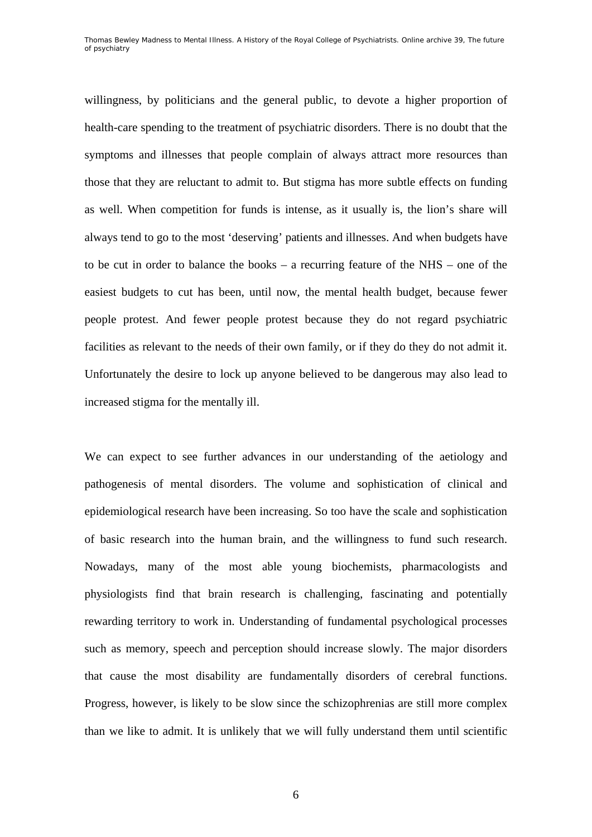willingness, by politicians and the general public, to devote a higher proportion of health-care spending to the treatment of psychiatric disorders. There is no doubt that the symptoms and illnesses that people complain of always attract more resources than those that they are reluctant to admit to. But stigma has more subtle effects on funding as well. When competition for funds is intense, as it usually is, the lion's share will always tend to go to the most 'deserving' patients and illnesses. And when budgets have to be cut in order to balance the books – a recurring feature of the NHS – one of the easiest budgets to cut has been, until now, the mental health budget, because fewer people protest. And fewer people protest because they do not regard psychiatric facilities as relevant to the needs of their own family, or if they do they do not admit it. Unfortunately the desire to lock up anyone believed to be dangerous may also lead to increased stigma for the mentally ill.

We can expect to see further advances in our understanding of the aetiology and pathogenesis of mental disorders. The volume and sophistication of clinical and epidemiological research have been increasing. So too have the scale and sophistication of basic research into the human brain, and the willingness to fund such research. Nowadays, many of the most able young biochemists, pharmacologists and physiologists find that brain research is challenging, fascinating and potentially rewarding territory to work in. Understanding of fundamental psychological processes such as memory, speech and perception should increase slowly. The major disorders that cause the most disability are fundamentally disorders of cerebral functions. Progress, however, is likely to be slow since the schizophrenias are still more complex than we like to admit. It is unlikely that we will fully understand them until scientific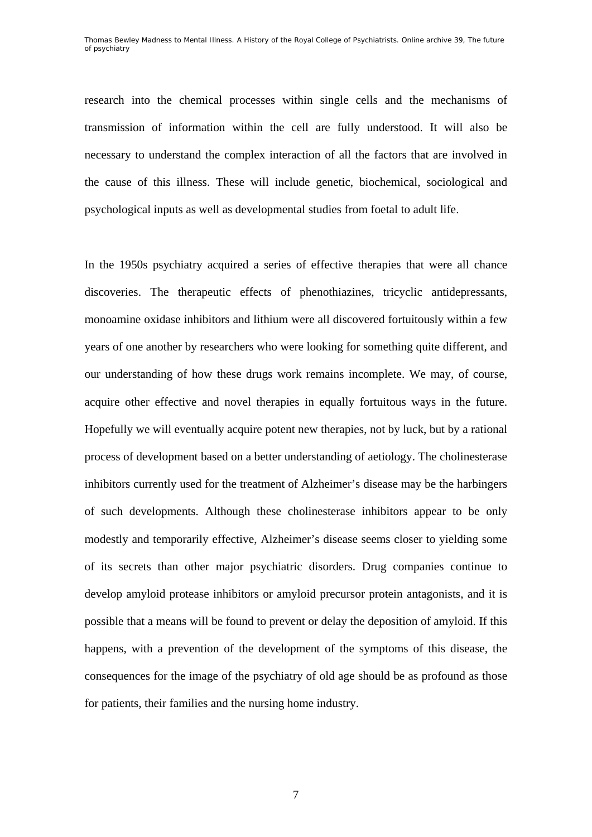research into the chemical processes within single cells and the mechanisms of transmission of information within the cell are fully understood. It will also be necessary to understand the complex interaction of all the factors that are involved in the cause of this illness. These will include genetic, biochemical, sociological and psychological inputs as well as developmental studies from foetal to adult life.

In the 1950s psychiatry acquired a series of effective therapies that were all chance discoveries. The therapeutic effects of phenothiazines, tricyclic antidepressants, monoamine oxidase inhibitors and lithium were all discovered fortuitously within a few years of one another by researchers who were looking for something quite different, and our understanding of how these drugs work remains incomplete. We may, of course, acquire other effective and novel therapies in equally fortuitous ways in the future. Hopefully we will eventually acquire potent new therapies, not by luck, but by a rational process of development based on a better understanding of aetiology. The cholinesterase inhibitors currently used for the treatment of Alzheimer's disease may be the harbingers of such developments. Although these cholinesterase inhibitors appear to be only modestly and temporarily effective, Alzheimer's disease seems closer to yielding some of its secrets than other major psychiatric disorders. Drug companies continue to develop amyloid protease inhibitors or amyloid precursor protein antagonists, and it is possible that a means will be found to prevent or delay the deposition of amyloid. If this happens, with a prevention of the development of the symptoms of this disease, the consequences for the image of the psychiatry of old age should be as profound as those for patients, their families and the nursing home industry.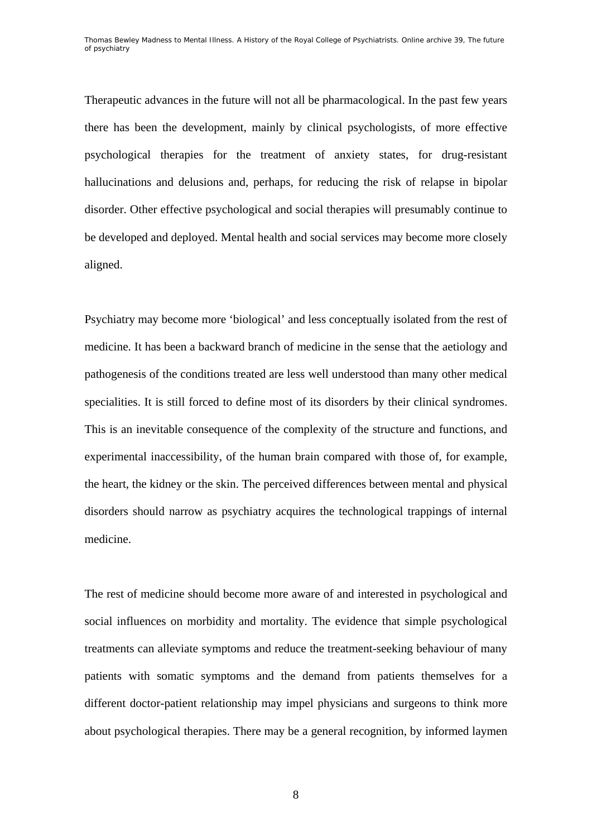Therapeutic advances in the future will not all be pharmacological. In the past few years there has been the development, mainly by clinical psychologists, of more effective psychological therapies for the treatment of anxiety states, for drug-resistant hallucinations and delusions and, perhaps, for reducing the risk of relapse in bipolar disorder. Other effective psychological and social therapies will presumably continue to be developed and deployed. Mental health and social services may become more closely aligned.

Psychiatry may become more 'biological' and less conceptually isolated from the rest of medicine. It has been a backward branch of medicine in the sense that the aetiology and pathogenesis of the conditions treated are less well understood than many other medical specialities. It is still forced to define most of its disorders by their clinical syndromes. This is an inevitable consequence of the complexity of the structure and functions, and experimental inaccessibility, of the human brain compared with those of, for example, the heart, the kidney or the skin. The perceived differences between mental and physical disorders should narrow as psychiatry acquires the technological trappings of internal medicine.

The rest of medicine should become more aware of and interested in psychological and social influences on morbidity and mortality. The evidence that simple psychological treatments can alleviate symptoms and reduce the treatment-seeking behaviour of many patients with somatic symptoms and the demand from patients themselves for a different doctor-patient relationship may impel physicians and surgeons to think more about psychological therapies. There may be a general recognition, by informed laymen

8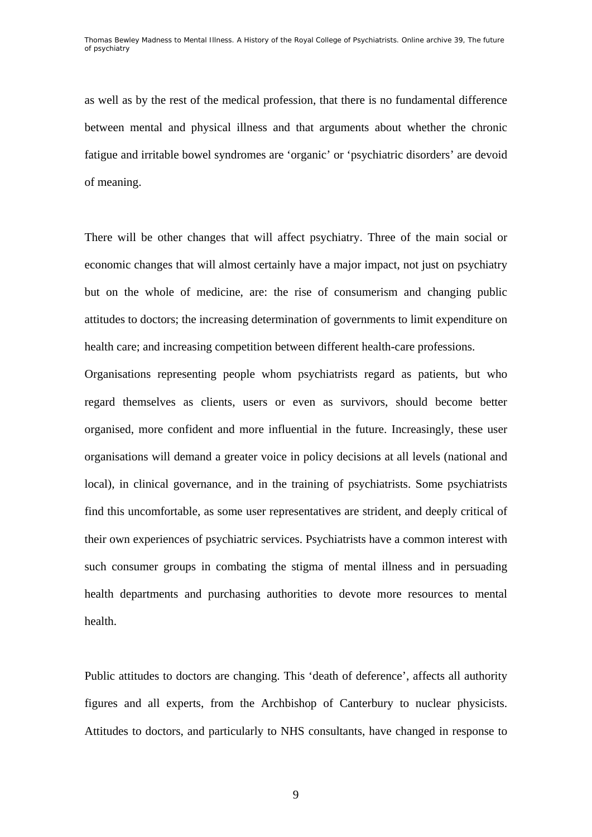as well as by the rest of the medical profession, that there is no fundamental difference between mental and physical illness and that arguments about whether the chronic fatigue and irritable bowel syndromes are 'organic' or 'psychiatric disorders' are devoid of meaning.

There will be other changes that will affect psychiatry. Three of the main social or economic changes that will almost certainly have a major impact, not just on psychiatry but on the whole of medicine, are: the rise of consumerism and changing public attitudes to doctors; the increasing determination of governments to limit expenditure on health care; and increasing competition between different health-care professions.

Organisations representing people whom psychiatrists regard as patients, but who regard themselves as clients, users or even as survivors, should become better organised, more confident and more influential in the future. Increasingly, these user organisations will demand a greater voice in policy decisions at all levels (national and local), in clinical governance, and in the training of psychiatrists. Some psychiatrists find this uncomfortable, as some user representatives are strident, and deeply critical of their own experiences of psychiatric services. Psychiatrists have a common interest with such consumer groups in combating the stigma of mental illness and in persuading health departments and purchasing authorities to devote more resources to mental health.

Public attitudes to doctors are changing. This 'death of deference', affects all authority figures and all experts, from the Archbishop of Canterbury to nuclear physicists. Attitudes to doctors, and particularly to NHS consultants, have changed in response to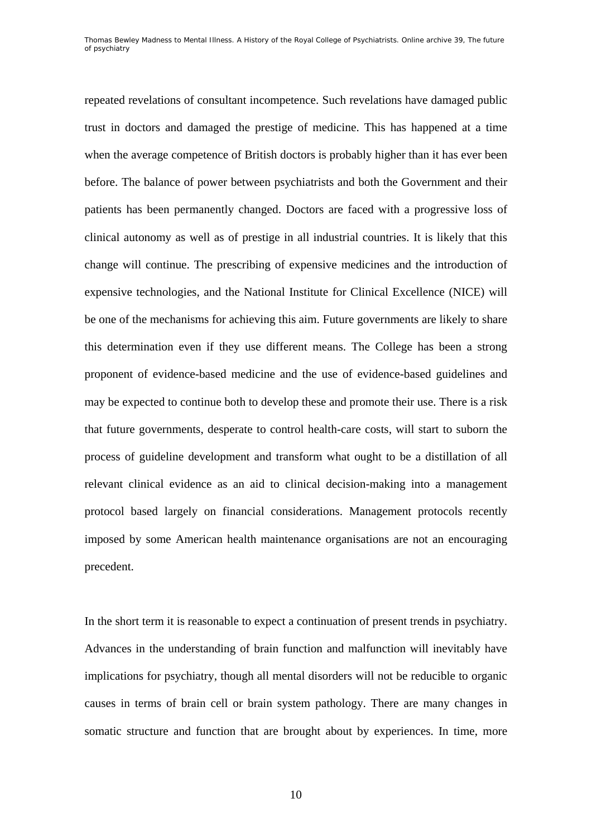repeated revelations of consultant incompetence. Such revelations have damaged public trust in doctors and damaged the prestige of medicine. This has happened at a time when the average competence of British doctors is probably higher than it has ever been before. The balance of power between psychiatrists and both the Government and their patients has been permanently changed. Doctors are faced with a progressive loss of clinical autonomy as well as of prestige in all industrial countries. It is likely that this change will continue. The prescribing of expensive medicines and the introduction of expensive technologies, and the National Institute for Clinical Excellence (NICE) will be one of the mechanisms for achieving this aim. Future governments are likely to share this determination even if they use different means. The College has been a strong proponent of evidence-based medicine and the use of evidence-based guidelines and may be expected to continue both to develop these and promote their use. There is a risk that future governments, desperate to control health-care costs, will start to suborn the process of guideline development and transform what ought to be a distillation of all relevant clinical evidence as an aid to clinical decision-making into a management protocol based largely on financial considerations. Management protocols recently imposed by some American health maintenance organisations are not an encouraging precedent.

In the short term it is reasonable to expect a continuation of present trends in psychiatry. Advances in the understanding of brain function and malfunction will inevitably have implications for psychiatry, though all mental disorders will not be reducible to organic causes in terms of brain cell or brain system pathology. There are many changes in somatic structure and function that are brought about by experiences. In time, more